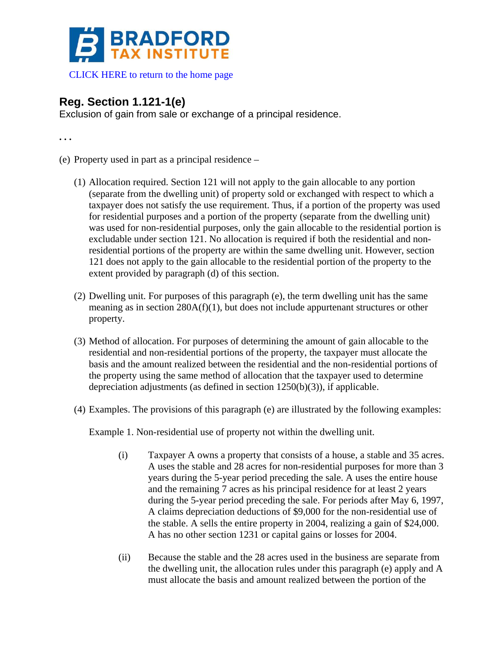

[CLICK HERE to return to the home page](http://bradfordtaxinstitute.com/index1.aspx) 

## **Reg. Section 1.121-1(e)**

Exclusion of gain from sale or exchange of a principal residence.

**. . .** 

- (e) Property used in part as a principal residence
	- (1) Allocation required. Section 121 will not apply to the gain allocable to any portion (separate from the dwelling unit) of property sold or exchanged with respect to which a taxpayer does not satisfy the use requirement. Thus, if a portion of the property was used for residential purposes and a portion of the property (separate from the dwelling unit) was used for non-residential purposes, only the gain allocable to the residential portion is excludable under section 121. No allocation is required if both the residential and nonresidential portions of the property are within the same dwelling unit. However, section 121 does not apply to the gain allocable to the residential portion of the property to the extent provided by paragraph (d) of this section.
	- (2) Dwelling unit. For purposes of this paragraph (e), the term dwelling unit has the same meaning as in section 280A(f)(1), but does not include appurtenant structures or other property.
	- (3) Method of allocation. For purposes of determining the amount of gain allocable to the residential and non-residential portions of the property, the taxpayer must allocate the basis and the amount realized between the residential and the non-residential portions of the property using the same method of allocation that the taxpayer used to determine depreciation adjustments (as defined in section 1250(b)(3)), if applicable.
	- (4) Examples. The provisions of this paragraph (e) are illustrated by the following examples:

Example 1. Non-residential use of property not within the dwelling unit.

- (i) Taxpayer A owns a property that consists of a house, a stable and 35 acres. A uses the stable and 28 acres for non-residential purposes for more than 3 years during the 5-year period preceding the sale. A uses the entire house and the remaining 7 acres as his principal residence for at least 2 years during the 5-year period preceding the sale. For periods after May 6, 1997, A claims depreciation deductions of \$9,000 for the non-residential use of the stable. A sells the entire property in 2004, realizing a gain of \$24,000. A has no other section 1231 or capital gains or losses for 2004.
- (ii) Because the stable and the 28 acres used in the business are separate from the dwelling unit, the allocation rules under this paragraph (e) apply and A must allocate the basis and amount realized between the portion of the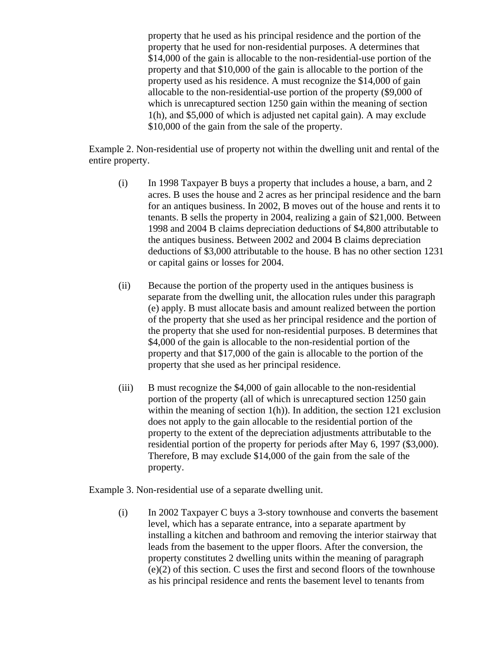property that he used as his principal residence and the portion of the property that he used for non-residential purposes. A determines that \$14,000 of the gain is allocable to the non-residential-use portion of the property and that \$10,000 of the gain is allocable to the portion of the property used as his residence. A must recognize the \$14,000 of gain allocable to the non-residential-use portion of the property (\$9,000 of which is unrecaptured section 1250 gain within the meaning of section 1(h), and \$5,000 of which is adjusted net capital gain). A may exclude \$10,000 of the gain from the sale of the property.

Example 2. Non-residential use of property not within the dwelling unit and rental of the entire property.

- (i) In 1998 Taxpayer B buys a property that includes a house, a barn, and 2 acres. B uses the house and 2 acres as her principal residence and the barn for an antiques business. In 2002, B moves out of the house and rents it to tenants. B sells the property in 2004, realizing a gain of \$21,000. Between 1998 and 2004 B claims depreciation deductions of \$4,800 attributable to the antiques business. Between 2002 and 2004 B claims depreciation deductions of \$3,000 attributable to the house. B has no other section 1231 or capital gains or losses for 2004.
- (ii) Because the portion of the property used in the antiques business is separate from the dwelling unit, the allocation rules under this paragraph (e) apply. B must allocate basis and amount realized between the portion of the property that she used as her principal residence and the portion of the property that she used for non-residential purposes. B determines that \$4,000 of the gain is allocable to the non-residential portion of the property and that \$17,000 of the gain is allocable to the portion of the property that she used as her principal residence.
- (iii) B must recognize the \$4,000 of gain allocable to the non-residential portion of the property (all of which is unrecaptured section 1250 gain within the meaning of section 1(h)). In addition, the section 121 exclusion does not apply to the gain allocable to the residential portion of the property to the extent of the depreciation adjustments attributable to the residential portion of the property for periods after May 6, 1997 (\$3,000). Therefore, B may exclude \$14,000 of the gain from the sale of the property.

Example 3. Non-residential use of a separate dwelling unit.

(i) In 2002 Taxpayer C buys a 3-story townhouse and converts the basement level, which has a separate entrance, into a separate apartment by installing a kitchen and bathroom and removing the interior stairway that leads from the basement to the upper floors. After the conversion, the property constitutes 2 dwelling units within the meaning of paragraph (e)(2) of this section. C uses the first and second floors of the townhouse as his principal residence and rents the basement level to tenants from